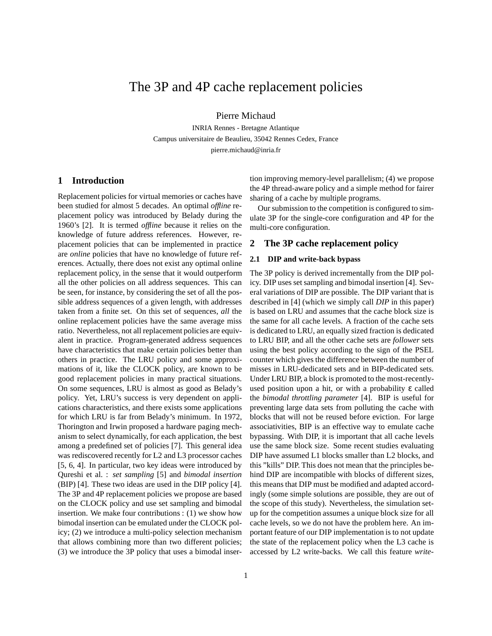# The 3P and 4P cache replacement policies

Pierre Michaud

INRIA Rennes - Bretagne Atlantique Campus universitaire de Beaulieu, 35042 Rennes Cedex, France pierre.michaud@inria.fr

# **1 Introduction**

Replacement policies for virtual memories or caches have been studied for almost 5 decades. An optimal *offline* replacement policy was introduced by Belady during the 1960's [2]. It is termed *offline* because it relies on the knowledge of future address references. However, replacement policies that can be implemented in practice are *online* policies that have no knowledge of future references. Actually, there does not exist any optimal online replacement policy, in the sense that it would outperform all the other policies on all address sequences. This can be seen, for instance, by considering the set of all the possible address sequences of a given length, with addresses taken from a finite set. On this set of sequences, *all* the online replacement policies have the same average miss ratio. Nevertheless, not all replacement policies are equivalent in practice. Program-generated address sequences have characteristics that make certain policies better than others in practice. The LRU policy and some approximations of it, like the CLOCK policy, are known to be good replacement policies in many practical situations. On some sequences, LRU is almost as good as Belady's policy. Yet, LRU's success is very dependent on applications characteristics, and there exists some applications for which LRU is far from Belady's minimum. In 1972, Thorington and Irwin proposed a hardware paging mechanism to select dynamically, for each application, the best among a predefined set of policies [7]. This general idea was rediscovered recently for L2 and L3 processor caches [5, 6, 4]. In particular, two key ideas were introduced by Qureshi et al. : *set sampling* [5] and *bimodal insertion* (BIP) [4]. These two ideas are used in the DIP policy [4]. The 3P and 4P replacement policies we propose are based on the CLOCK policy and use set sampling and bimodal insertion. We make four contributions : (1) we show how bimodal insertion can be emulated under the CLOCK policy; (2) we introduce a multi-policy selection mechanism that allows combining more than two different policies; (3) we introduce the 3P policy that uses a bimodal insertion improving memory-level parallelism; (4) we propose the 4P thread-aware policy and a simple method for fairer sharing of a cache by multiple programs.

Our submission to the competition is configured to simulate 3P for the single-core configuration and 4P for the multi-core configuration.

# **2 The 3P cache replacement policy**

## **2.1 DIP and write-back bypass**

The 3P policy is derived incrementally from the DIP policy. DIP uses set sampling and bimodal insertion [4]. Several variations of DIP are possible. The DIP variant that is described in [4] (which we simply call *DIP* in this paper) is based on LRU and assumes that the cache block size is the same for all cache levels. A fraction of the cache sets is dedicated to LRU, an equally sized fraction is dedicated to LRU BIP, and all the other cache sets are *follower* sets using the best policy according to the sign of the PSEL counter which gives the difference between the number of misses in LRU-dedicated sets and in BIP-dedicated sets. Under LRU BIP, a block is promoted to the most-recentlyused position upon a hit, or with a probability ε called the *bimodal throttling parameter* [4]. BIP is useful for preventing large data sets from polluting the cache with blocks that will not be reused before eviction. For large associativities, BIP is an effective way to emulate cache bypassing. With DIP, it is important that all cache levels use the same block size. Some recent studies evaluating DIP have assumed L1 blocks smaller than L2 blocks, and this "kills" DIP. This does not mean that the principles behind DIP are incompatible with blocks of different sizes, this means that DIP must be modified and adapted accordingly (some simple solutions are possible, they are out of the scope of this study). Nevertheless, the simulation setup for the competition assumes a unique block size for all cache levels, so we do not have the problem here. An important feature of our DIP implementation is to not update the state of the replacement policy when the L3 cache is accessed by L2 write-backs. We call this feature *write-*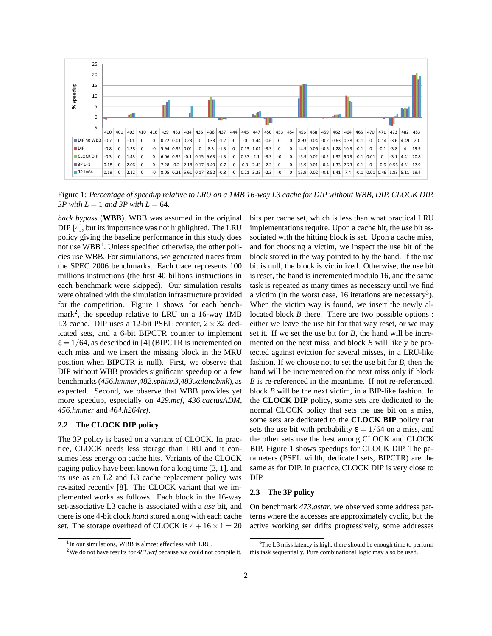

Figure 1: *Percentage of speedup relative to LRU on a 1MB 16-way L3 cache for DIP without WBB, DIP, CLOCK DIP, 3P with*  $L = 1$  *and 3P with*  $L = 64$ .

*back bypass* (**WBB**). WBB was assumed in the original DIP [4], but its importance was not highlighted. The LRU policy giving the baseline performance in this study does not use WBB<sup>1</sup>. Unless specified otherwise, the other policies use WBB. For simulations, we generated traces from the SPEC 2006 benchmarks. Each trace represents 100 millions instructions (the first 40 billions instructions in each benchmark were skipped). Our simulation results were obtained with the simulation infrastructure provided for the competition. Figure 1 shows, for each benchmark<sup>2</sup> , the speedup relative to LRU on a 16-way 1MB L3 cache. DIP uses a 12-bit PSEL counter,  $2 \times 32$  dedicated sets, and a 6-bit BIPCTR counter to implement  $\epsilon = 1/64$ , as described in [4] (BIPCTR is incremented on each miss and we insert the missing block in the MRU position when BIPCTR is null). First, we observe that DIP without WBB provides significant speedup on a few benchmarks (*456.hmmer*,*482.sphinx3*,*483.xalancbmk*), as expected. Second, we observe that WBB provides yet more speedup, especially on *429.mcf*, *436.cactusADM*, *456.hmmer* and *464.h264ref*.

# **2.2 The CLOCK DIP policy**

The 3P policy is based on a variant of CLOCK. In practice, CLOCK needs less storage than LRU and it consumes less energy on cache hits. Variants of the CLOCK paging policy have been known for a long time [3, 1], and its use as an L2 and L3 cache replacement policy was revisited recently [8]. The CLOCK variant that we implemented works as follows. Each block in the 16-way set-associative L3 cache is associated with a *use* bit, and there is one 4-bit clock *hand* stored along with each cache set. The storage overhead of CLOCK is  $4 + 16 \times 1 = 20$  bits per cache set, which is less than what practical LRU implementations require. Upon a cache hit, the *use* bit associated with the hitting block is set. Upon a cache miss, and for choosing a victim, we inspect the use bit of the block stored in the way pointed to by the hand. If the use bit is null, the block is victimized. Otherwise, the use bit is reset, the hand is incremented modulo 16, and the same task is repeated as many times as necessary until we find a victim (in the worst case, 16 iterations are necessary<sup>3</sup>). When the victim way is found, we insert the newly allocated block *B* there. There are two possible options : either we leave the use bit for that way reset, or we may set it. If we set the use bit for *B*, the hand will be incremented on the next miss, and block *B* will likely be protected against eviction for several misses, in a LRU-like fashion. If we choose not to set the use bit for *B*, then the hand will be incremented on the next miss only if block *B* is re-referenced in the meantime. If not re-referenced, block *B* will be the next victim, in a BIP-like fashion. In the **CLOCK DIP** policy, some sets are dedicated to the normal CLOCK policy that sets the use bit on a miss, some sets are dedicated to the **CLOCK BIP** policy that sets the use bit with probability  $\varepsilon = 1/64$  on a miss, and the other sets use the best among CLOCK and CLOCK BIP. Figure 1 shows speedups for CLOCK DIP. The parameters (PSEL width, dedicated sets, BIPCTR) are the same as for DIP. In practice, CLOCK DIP is very close to DIP.

#### **2.3 The 3P policy**

On benchmark *473.astar*, we observed some address patterns where the accesses are approximately cyclic, but the active working set drifts progressively, some addresses

<sup>&</sup>lt;sup>1</sup> In our simulations, WBB is almost effectless with LRU.

<sup>2</sup>We do not have results for *481.wrf* because we could not compile it.

<sup>&</sup>lt;sup>3</sup>The L3 miss latency is high, there should be enough time to perform this task sequentially. Pure combinational logic may also be used.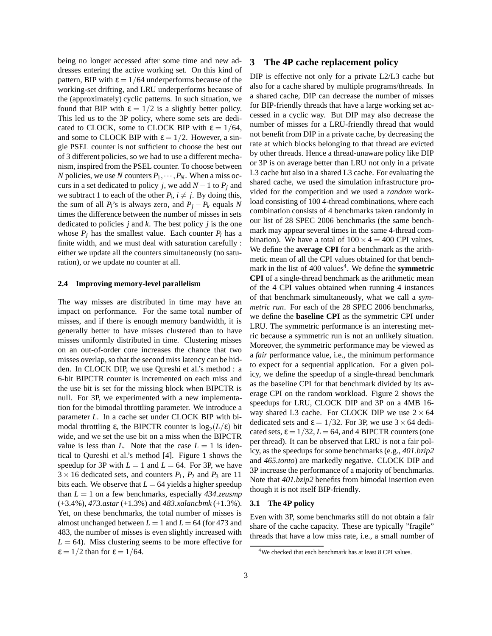being no longer accessed after some time and new addresses entering the active working set. On this kind of pattern, BIP with  $\varepsilon = 1/64$  underperforms because of the working-set drifting, and LRU underperforms because of the (approximately) cyclic patterns. In such situation, we found that BIP with  $\varepsilon = 1/2$  is a slightly better policy. This led us to the 3P policy, where some sets are dedicated to CLOCK, some to CLOCK BIP with  $\varepsilon = 1/64$ , and some to CLOCK BIP with  $\varepsilon = 1/2$ . However, a single PSEL counter is not sufficient to choose the best out of 3 different policies, so we had to use a different mechanism, inspired from the PSEL counter. To choose between *N* policies, we use *N* counters  $P_1, \dots, P_N$ . When a miss occurs in a set dedicated to policy *j*, we add  $N - 1$  to  $P_j$  and we subtract 1 to each of the other  $P_i$ ,  $i \neq j$ . By doing this, the sum of all  $P_i$ 's is always zero, and  $P_j - P_k$  equals N times the difference between the number of misses in sets dedicated to policies *j* and *k*. The best policy *j* is the one whose  $P_i$  has the smallest value. Each counter  $P_i$  has a finite width, and we must deal with saturation carefully : either we update all the counters simultaneously (no saturation), or we update no counter at all.

#### **2.4 Improving memory-level parallelism**

The way misses are distributed in time may have an impact on performance. For the same total number of misses, and if there is enough memory bandwidth, it is generally better to have misses clustered than to have misses uniformly distributed in time. Clustering misses on an out-of-order core increases the chance that two misses overlap, so that the second miss latency can be hidden. In CLOCK DIP, we use Qureshi et al.'s method : a 6-bit BIPCTR counter is incremented on each miss and the use bit is set for the missing block when BIPCTR is null. For 3P, we experimented with a new implementation for the bimodal throttling parameter. We introduce a parameter *L*. In a cache set under CLOCK BIP with bimodal throttling  $\varepsilon$ , the BIPCTR counter is  $\log_2(L/\varepsilon)$  bit wide, and we set the use bit on a miss when the BIPCTR value is less than *L*. Note that the case  $L = 1$  is identical to Qureshi et al.'s method [4]. Figure 1 shows the speedup for 3P with  $L = 1$  and  $L = 64$ . For 3P, we have  $3 \times 16$  dedicated sets, and counters  $P_1$ ,  $P_2$  and  $P_3$  are 11 bits each. We observe that  $L = 64$  yields a higher speedup than *L* = 1 on a few benchmarks, especially *434.zeusmp* (+3.4%), *473.astar* (+1.3%) and *483.xalancbmk* (+1.3%). Yet, on these benchmarks, the total number of misses is almost unchanged between  $L = 1$  and  $L = 64$  (for 473 and 483, the number of misses is even slightly increased with  $L = 64$ ). Miss clustering seems to be more effective for  $\epsilon = 1/2$  than for  $\epsilon = 1/64$ .

# **3 The 4P cache replacement policy**

DIP is effective not only for a private L2/L3 cache but also for a cache shared by multiple programs/threads. In a shared cache, DIP can decrease the number of misses for BIP-friendly threads that have a large working set accessed in a cyclic way. But DIP may also decrease the number of misses for a LRU-friendly thread that would not benefit from DIP in a private cache, by decreasing the rate at which blocks belonging to that thread are evicted by other threads. Hence a thread-unaware policy like DIP or 3P is on average better than LRU not only in a private L3 cache but also in a shared L3 cache. For evaluating the shared cache, we used the simulation infrastructure provided for the competition and we used a *random* workload consisting of 100 4-thread combinations, where each combination consists of 4 benchmarks taken randomly in our list of 28 SPEC 2006 benchmarks (the same benchmark may appear several times in the same 4-thread combination). We have a total of  $100 \times 4 = 400$  CPI values. We define the **average CPI** for a benchmark as the arithmetic mean of all the CPI values obtained for that benchmark in the list of 400 values<sup>4</sup>. We define the **symmetric CPI** of a single-thread benchmark as the arithmetic mean of the 4 CPI values obtained when running 4 instances of that benchmark simultaneously, what we call a *symmetric run*. For each of the 28 SPEC 2006 benchmarks, we define the **baseline CPI** as the symmetric CPI under LRU. The symmetric performance is an interesting metric because a symmetric run is not an unlikely situation. Moreover, the symmetric performance may be viewed as a *fair* performance value, i.e., the minimum performance to expect for a sequential application. For a given policy, we define the speedup of a single-thread benchmark as the baseline CPI for that benchmark divided by its average CPI on the random workload. Figure 2 shows the speedups for LRU, CLOCK DIP and 3P on a 4MB 16 way shared L3 cache. For CLOCK DIP we use  $2 \times 64$ dedicated sets and  $\epsilon = 1/32$ . For 3P, we use 3 × 64 dedicated sets,  $\varepsilon = 1/32$ ,  $L = 64$ , and 4 BIPCTR counters (one per thread). It can be observed that LRU is not a fair policy, as the speedups for some benchmarks (e.g., *401.bzip2* and *465.tonto*) are markedly negative. CLOCK DIP and 3P increase the performance of a majority of benchmarks. Note that *401.bzip2* benefits from bimodal insertion even though it is not itself BIP-friendly.

# **3.1 The 4P policy**

Even with 3P, some benchmarks still do not obtain a fair share of the cache capacity. These are typically "fragile" threads that have a low miss rate, i.e., a small number of

<sup>&</sup>lt;sup>4</sup>We checked that each benchmark has at least 8 CPI values.